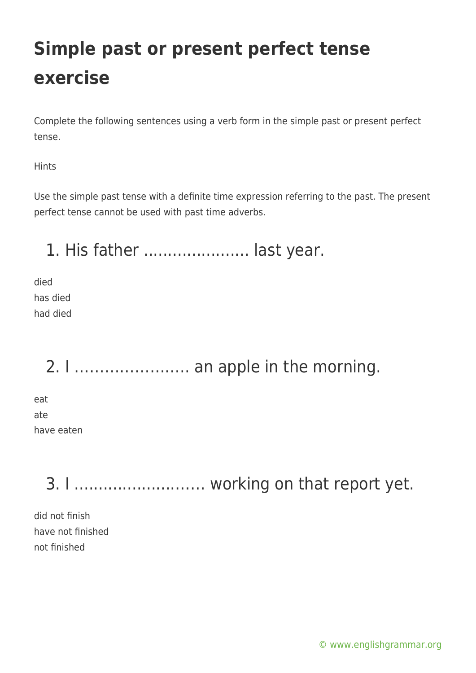Complete the following sentences using a verb form in the simple past or present perfect tense.

Hints

Use the simple past tense with a definite time expression referring to the past. The present perfect tense cannot be used with past time adverbs.

1. His father ...................... last year.

died has died had died

2. I ………………….. an apple in the morning.

eat ate have eaten

3. I ............................. working on that report yet.

did not finish have not finished not finished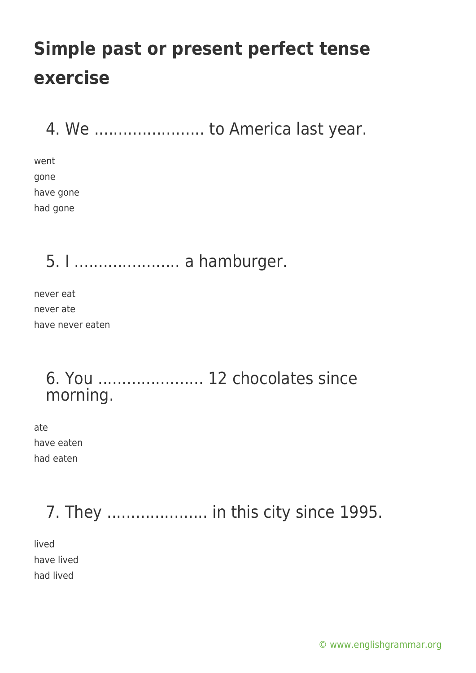4. We ........................... to America last year.

went gone have gone had gone

5. I ...................... a hamburger.

never eat never ate have never eaten

### 6. You ...................... 12 chocolates since morning.

ate have eaten had eaten

## 7. They ..................... in this city since 1995.

lived have lived had lived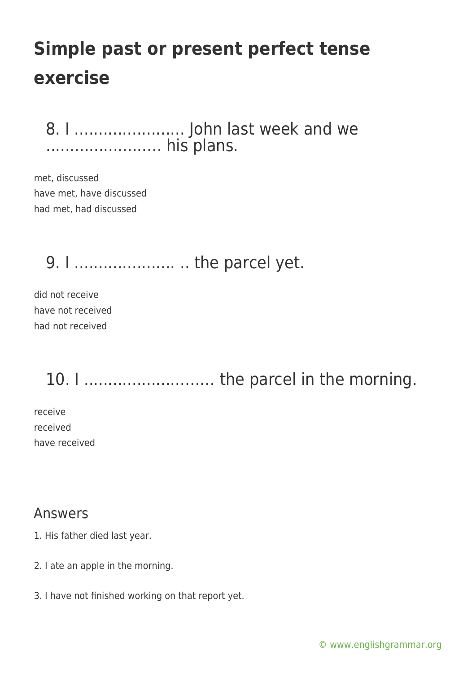8. I ....................... John last week and we .....................… his plans.

met, discussed have met, have discussed had met, had discussed

9. I ........................... .. the parcel yet.

did not receive have not received had not received

10. I ................................ the parcel in the morning.

receive received have received

#### Answers

- 1. His father died last year.
- 2. I ate an apple in the morning.
- 3. I have not finished working on that report yet.